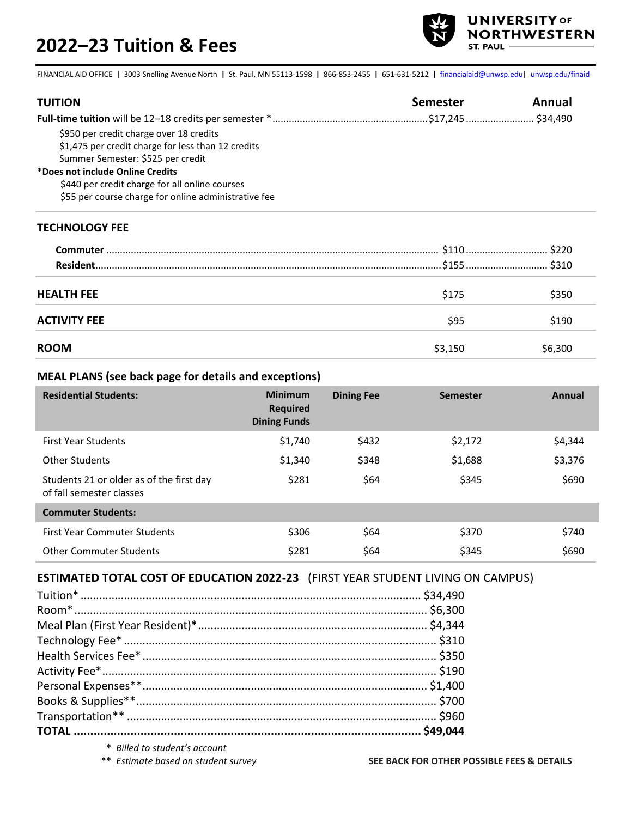# **2022–23 Tuition & Fees**



FINANCIAL AID OFFICE **|** 3003 Snelling Avenue North **|** St. Paul, MN 55113-1598 **|** 866-853-2455 **|** 651-631-5212 **|** [financialaid@unwsp.edu](mailto:financialaid@unwsp.edu)**|** [unwsp.edu/finaid](http://unwsp.edu/finaid)

| <b>TUITION</b>                                       | Semester | Annual |
|------------------------------------------------------|----------|--------|
|                                                      |          |        |
| \$950 per credit charge over 18 credits              |          |        |
| \$1,475 per credit charge for less than 12 credits   |          |        |
| Summer Semester: \$525 per credit                    |          |        |
| *Does not include Online Credits                     |          |        |
| \$440 per credit charge for all online courses       |          |        |
| \$55 per course charge for online administrative fee |          |        |

#### **TECHNOLOGY FEE**

| Commuter            |         |               |
|---------------------|---------|---------------|
| <b>Resident</b>     |         | .\$155  \$310 |
|                     |         |               |
| <b>HEALTH FEE</b>   | \$175   | \$350         |
| <b>ACTIVITY FEE</b> | \$95    | \$190         |
| <b>ROOM</b>         | \$3,150 | \$6,300       |

#### **MEAL PLANS (see back page for details and exceptions)**

| <b>Residential Students:</b>                                         | <b>Minimum</b><br><b>Required</b><br><b>Dining Funds</b> | <b>Dining Fee</b> | <b>Semester</b> | Annual  |
|----------------------------------------------------------------------|----------------------------------------------------------|-------------------|-----------------|---------|
| <b>First Year Students</b>                                           | \$1,740                                                  | \$432             | \$2,172         | \$4,344 |
| <b>Other Students</b>                                                | \$1,340                                                  | \$348             | \$1,688         | \$3,376 |
| Students 21 or older as of the first day<br>of fall semester classes | \$281                                                    | \$64              | \$345           | \$690   |
| <b>Commuter Students:</b>                                            |                                                          |                   |                 |         |
| <b>First Year Commuter Students</b>                                  | \$306                                                    | \$64              | \$370           | \$740   |
| <b>Other Commuter Students</b>                                       | \$281                                                    | \$64              | \$345           | \$690   |

#### **ESTIMATED TOTAL COST OF EDUCATION 2022-23** (FIRST YEAR STUDENT LIVING ON CAMPUS)

| $\mathbf{u} = \mathbf{u} \cdot \mathbf{u} + \mathbf{u} \cdot \mathbf{u} + \mathbf{u} \cdot \mathbf{u} + \mathbf{u} \cdot \mathbf{u} + \mathbf{u} \cdot \mathbf{u} + \mathbf{u} \cdot \mathbf{u} + \mathbf{u} \cdot \mathbf{u} + \mathbf{u} \cdot \mathbf{u} + \mathbf{u} \cdot \mathbf{u} + \mathbf{u} \cdot \mathbf{u} + \mathbf{u} \cdot \mathbf{u} + \mathbf{u} \cdot \mathbf{u} + \mathbf{u} \cdot \mathbf{u} + \mathbf{u} \cdot \mathbf{u} + \mathbf$ |  |
|------------------------------------------------------------------------------------------------------------------------------------------------------------------------------------------------------------------------------------------------------------------------------------------------------------------------------------------------------------------------------------------------------------------------------------------------------------|--|

\* *Billed to student's account*